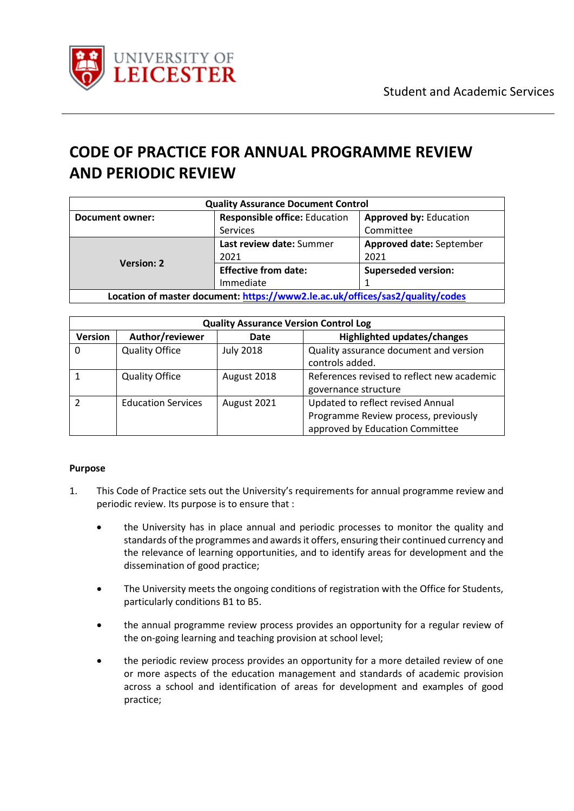

# **CODE OF PRACTICE FOR ANNUAL PROGRAMME REVIEW AND PERIODIC REVIEW**

| <b>Quality Assurance Document Control</b>                                     |                                                                       |                            |  |
|-------------------------------------------------------------------------------|-----------------------------------------------------------------------|----------------------------|--|
| <b>Document owner:</b>                                                        | <b>Responsible office: Education</b><br><b>Approved by: Education</b> |                            |  |
|                                                                               | Services                                                              | Committee                  |  |
| <b>Version: 2</b>                                                             | Last review date: Summer                                              | Approved date: September   |  |
|                                                                               | 2021                                                                  | 2021                       |  |
|                                                                               | <b>Effective from date:</b>                                           | <b>Superseded version:</b> |  |
|                                                                               | Immediate                                                             |                            |  |
| Location of master document: https://www2.le.ac.uk/offices/sas2/quality/codes |                                                                       |                            |  |

| <b>Quality Assurance Version Control Log</b> |                           |                  |                                                                                                              |
|----------------------------------------------|---------------------------|------------------|--------------------------------------------------------------------------------------------------------------|
| <b>Version</b>                               | Author/reviewer           | Date             | Highlighted updates/changes                                                                                  |
| 0                                            | <b>Quality Office</b>     | <b>July 2018</b> | Quality assurance document and version<br>controls added.                                                    |
|                                              | <b>Quality Office</b>     | August 2018      | References revised to reflect new academic<br>governance structure                                           |
| 2                                            | <b>Education Services</b> | August 2021      | Updated to reflect revised Annual<br>Programme Review process, previously<br>approved by Education Committee |

### **Purpose**

- 1. This Code of Practice sets out the University's requirements for annual programme review and periodic review. Its purpose is to ensure that :
	- the University has in place annual and periodic processes to monitor the quality and standards of the programmes and awards it offers, ensuring their continued currency and the relevance of learning opportunities, and to identify areas for development and the dissemination of good practice;
	- The University meets the ongoing conditions of registration with the Office for Students, particularly conditions B1 to B5.
	- the annual programme review process provides an opportunity for a regular review of the on-going learning and teaching provision at school level;
	- the periodic review process provides an opportunity for a more detailed review of one or more aspects of the education management and standards of academic provision across a school and identification of areas for development and examples of good practice;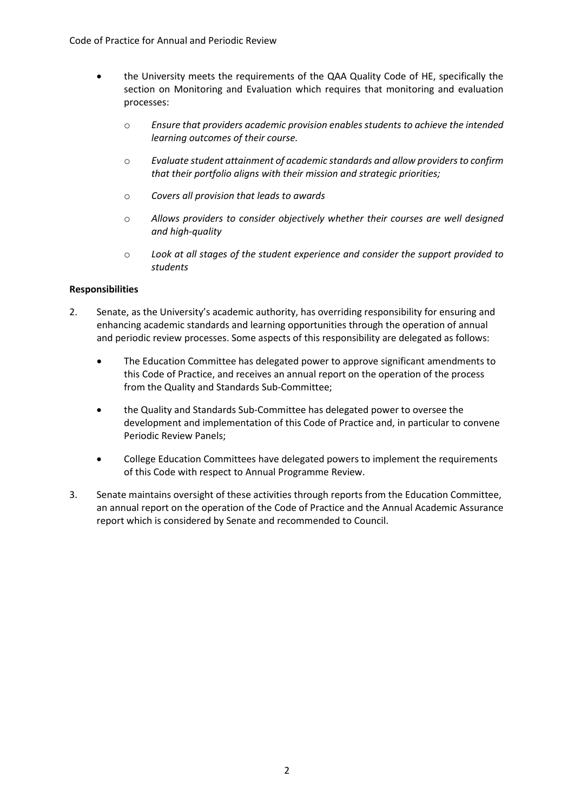- the University meets the requirements of the QAA Quality Code of HE, specifically the section on Monitoring and Evaluation which requires that monitoring and evaluation processes:
	- o *Ensure that providers academic provision enables students to achieve the intended learning outcomes of their course.*
	- o *Evaluate student attainment of academic standards and allow providers to confirm that their portfolio aligns with their mission and strategic priorities;*
	- o *Covers all provision that leads to awards*
	- o *Allows providers to consider objectively whether their courses are well designed and high-quality*
	- o *Look at all stages of the student experience and consider the support provided to students*

#### **Responsibilities**

- 2. Senate, as the University's academic authority, has overriding responsibility for ensuring and enhancing academic standards and learning opportunities through the operation of annual and periodic review processes. Some aspects of this responsibility are delegated as follows:
	- The Education Committee has delegated power to approve significant amendments to this Code of Practice, and receives an annual report on the operation of the process from the Quality and Standards Sub-Committee;
	- the Quality and Standards Sub-Committee has delegated power to oversee the development and implementation of this Code of Practice and, in particular to convene Periodic Review Panels;
	- College Education Committees have delegated powers to implement the requirements of this Code with respect to Annual Programme Review.
- 3. Senate maintains oversight of these activities through reports from the Education Committee, an annual report on the operation of the Code of Practice and the Annual Academic Assurance report which is considered by Senate and recommended to Council.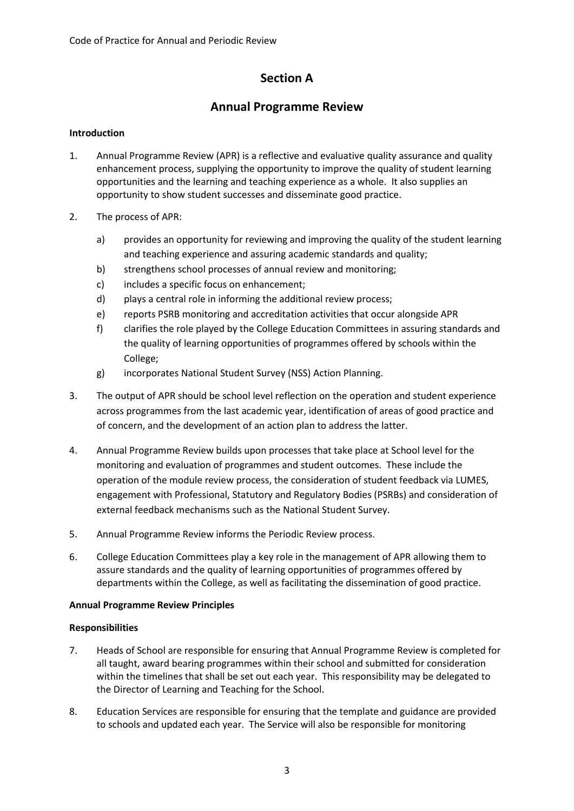# **Section A**

# **Annual Programme Review**

### **Introduction**

- 1. Annual Programme Review (APR) is a reflective and evaluative quality assurance and quality enhancement process, supplying the opportunity to improve the quality of student learning opportunities and the learning and teaching experience as a whole. It also supplies an opportunity to show student successes and disseminate good practice.
- 2. The process of APR:
	- a) provides an opportunity for reviewing and improving the quality of the student learning and teaching experience and assuring academic standards and quality;
	- b) strengthens school processes of annual review and monitoring;
	- c) includes a specific focus on enhancement;
	- d) plays a central role in informing the additional review process;
	- e) reports PSRB monitoring and accreditation activities that occur alongside APR
	- f) clarifies the role played by the College Education Committees in assuring standards and the quality of learning opportunities of programmes offered by schools within the College;
	- g) incorporates National Student Survey (NSS) Action Planning.
- 3. The output of APR should be school level reflection on the operation and student experience across programmes from the last academic year, identification of areas of good practice and of concern, and the development of an action plan to address the latter.
- 4. Annual Programme Review builds upon processes that take place at School level for the monitoring and evaluation of programmes and student outcomes. These include the operation of the module review process, the consideration of student feedback via LUMES, engagement with Professional, Statutory and Regulatory Bodies (PSRBs) and consideration of external feedback mechanisms such as the National Student Survey.
- 5. Annual Programme Review informs the Periodic Review process.
- 6. College Education Committees play a key role in the management of APR allowing them to assure standards and the quality of learning opportunities of programmes offered by departments within the College, as well as facilitating the dissemination of good practice.

### **Annual Programme Review Principles**

### **Responsibilities**

- 7. Heads of School are responsible for ensuring that Annual Programme Review is completed for all taught, award bearing programmes within their school and submitted for consideration within the timelines that shall be set out each year. This responsibility may be delegated to the Director of Learning and Teaching for the School.
- 8. Education Services are responsible for ensuring that the template and guidance are provided to schools and updated each year. The Service will also be responsible for monitoring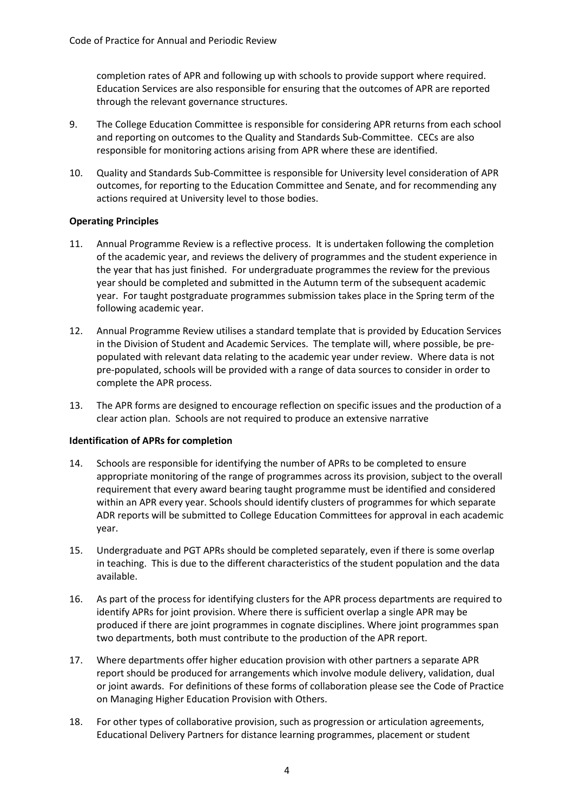completion rates of APR and following up with schools to provide support where required. Education Services are also responsible for ensuring that the outcomes of APR are reported through the relevant governance structures.

- 9. The College Education Committee is responsible for considering APR returns from each school and reporting on outcomes to the Quality and Standards Sub-Committee. CECs are also responsible for monitoring actions arising from APR where these are identified.
- 10. Quality and Standards Sub-Committee is responsible for University level consideration of APR outcomes, for reporting to the Education Committee and Senate, and for recommending any actions required at University level to those bodies.

#### **Operating Principles**

- 11. Annual Programme Review is a reflective process. It is undertaken following the completion of the academic year, and reviews the delivery of programmes and the student experience in the year that has just finished. For undergraduate programmes the review for the previous year should be completed and submitted in the Autumn term of the subsequent academic year. For taught postgraduate programmes submission takes place in the Spring term of the following academic year.
- 12. Annual Programme Review utilises a standard template that is provided by Education Services in the Division of Student and Academic Services. The template will, where possible, be prepopulated with relevant data relating to the academic year under review. Where data is not pre-populated, schools will be provided with a range of data sources to consider in order to complete the APR process.
- 13. The APR forms are designed to encourage reflection on specific issues and the production of a clear action plan. Schools are not required to produce an extensive narrative

#### **Identification of APRs for completion**

- 14. Schools are responsible for identifying the number of APRs to be completed to ensure appropriate monitoring of the range of programmes across its provision, subject to the overall requirement that every award bearing taught programme must be identified and considered within an APR every year. Schools should identify clusters of programmes for which separate ADR reports will be submitted to College Education Committees for approval in each academic year.
- 15. Undergraduate and PGT APRs should be completed separately, even if there is some overlap in teaching. This is due to the different characteristics of the student population and the data available.
- 16. As part of the process for identifying clusters for the APR process departments are required to identify APRs for joint provision. Where there is sufficient overlap a single APR may be produced if there are joint programmes in cognate disciplines. Where joint programmes span two departments, both must contribute to the production of the APR report.
- 17. Where departments offer higher education provision with other partners a separate APR report should be produced for arrangements which involve module delivery, validation, dual or joint awards. For definitions of these forms of collaboration please see the Code of Practice on Managing Higher Education Provision with Others.
- 18. For other types of collaborative provision, such as progression or articulation agreements, Educational Delivery Partners for distance learning programmes, placement or student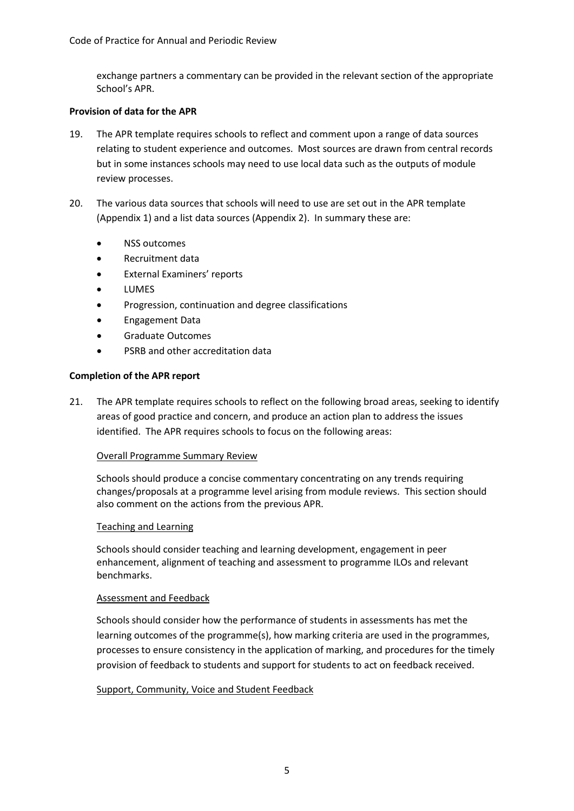exchange partners a commentary can be provided in the relevant section of the appropriate School's APR.

#### **Provision of data for the APR**

- 19. The APR template requires schools to reflect and comment upon a range of data sources relating to student experience and outcomes. Most sources are drawn from central records but in some instances schools may need to use local data such as the outputs of module review processes.
- 20. The various data sources that schools will need to use are set out in the APR template (Appendix 1) and a list data sources (Appendix 2). In summary these are:
	- NSS outcomes
	- Recruitment data
	- External Examiners' reports
	- **LUMES**
	- Progression, continuation and degree classifications
	- Engagement Data
	- Graduate Outcomes
	- PSRB and other accreditation data

#### **Completion of the APR report**

21. The APR template requires schools to reflect on the following broad areas, seeking to identify areas of good practice and concern, and produce an action plan to address the issues identified. The APR requires schools to focus on the following areas:

#### Overall Programme Summary Review

Schools should produce a concise commentary concentrating on any trends requiring changes/proposals at a programme level arising from module reviews. This section should also comment on the actions from the previous APR.

#### Teaching and Learning

Schools should consider teaching and learning development, engagement in peer enhancement, alignment of teaching and assessment to programme ILOs and relevant benchmarks.

#### Assessment and Feedback

Schools should consider how the performance of students in assessments has met the learning outcomes of the programme(s), how marking criteria are used in the programmes, processes to ensure consistency in the application of marking, and procedures for the timely provision of feedback to students and support for students to act on feedback received.

#### Support, Community, Voice and Student Feedback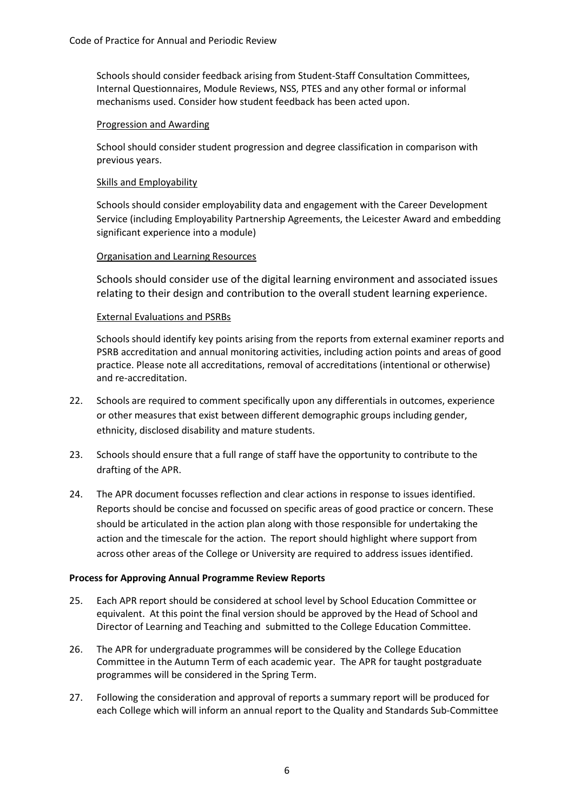Schools should consider feedback arising from Student-Staff Consultation Committees, Internal Questionnaires, Module Reviews, NSS, PTES and any other formal or informal mechanisms used. Consider how student feedback has been acted upon.

#### Progression and Awarding

School should consider student progression and degree classification in comparison with previous years.

#### Skills and Employability

Schools should consider employability data and engagement with the Career Development Service (including Employability Partnership Agreements, the Leicester Award and embedding significant experience into a module)

#### Organisation and Learning Resources

Schools should consider use of the digital learning environment and associated issues relating to their design and contribution to the overall student learning experience.

#### External Evaluations and PSRBs

Schools should identify key points arising from the reports from external examiner reports and PSRB accreditation and annual monitoring activities, including action points and areas of good practice. Please note all accreditations, removal of accreditations (intentional or otherwise) and re-accreditation.

- 22. Schools are required to comment specifically upon any differentials in outcomes, experience or other measures that exist between different demographic groups including gender, ethnicity, disclosed disability and mature students.
- 23. Schools should ensure that a full range of staff have the opportunity to contribute to the drafting of the APR.
- 24. The APR document focusses reflection and clear actions in response to issues identified. Reports should be concise and focussed on specific areas of good practice or concern. These should be articulated in the action plan along with those responsible for undertaking the action and the timescale for the action. The report should highlight where support from across other areas of the College or University are required to address issues identified.

#### **Process for Approving Annual Programme Review Reports**

- 25. Each APR report should be considered at school level by School Education Committee or equivalent. At this point the final version should be approved by the Head of School and Director of Learning and Teaching and submitted to the College Education Committee.
- 26. The APR for undergraduate programmes will be considered by the College Education Committee in the Autumn Term of each academic year. The APR for taught postgraduate programmes will be considered in the Spring Term.
- 27. Following the consideration and approval of reports a summary report will be produced for each College which will inform an annual report to the Quality and Standards Sub-Committee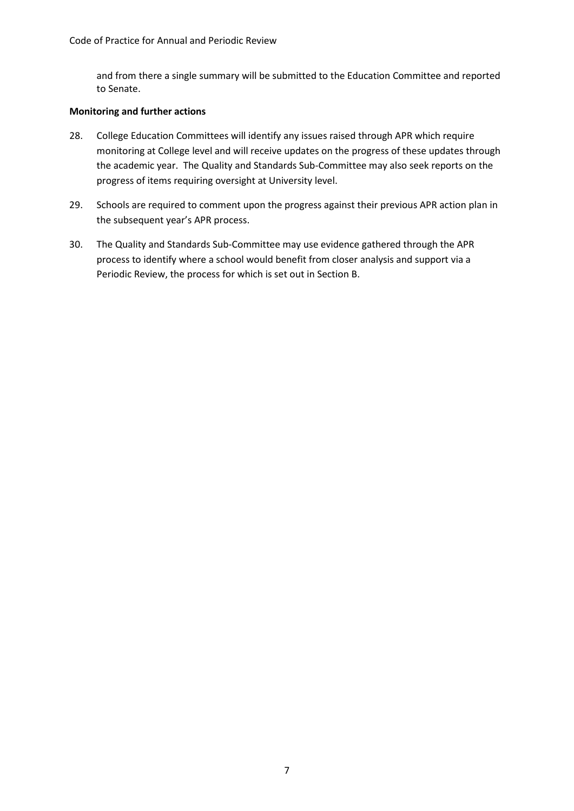and from there a single summary will be submitted to the Education Committee and reported to Senate.

#### **Monitoring and further actions**

- 28. College Education Committees will identify any issues raised through APR which require monitoring at College level and will receive updates on the progress of these updates through the academic year. The Quality and Standards Sub-Committee may also seek reports on the progress of items requiring oversight at University level.
- 29. Schools are required to comment upon the progress against their previous APR action plan in the subsequent year's APR process.
- 30. The Quality and Standards Sub-Committee may use evidence gathered through the APR process to identify where a school would benefit from closer analysis and support via a Periodic Review, the process for which is set out in Section B.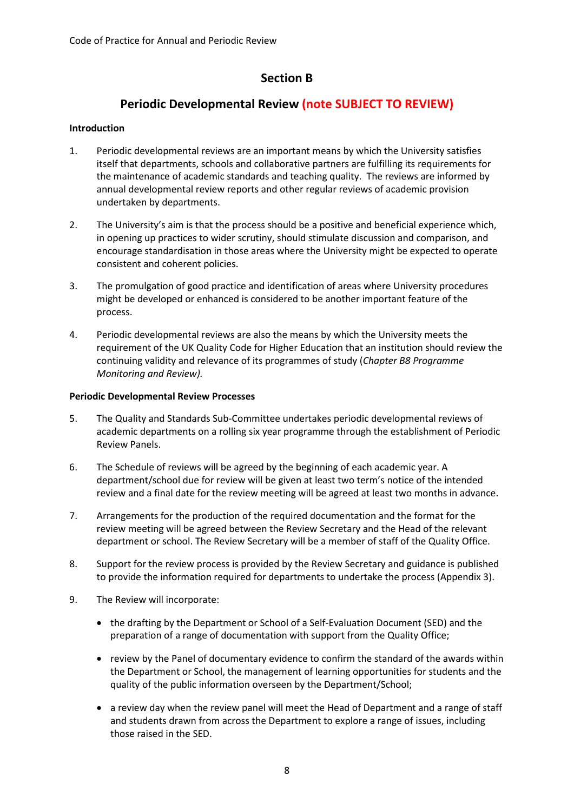# **Section B**

# **Periodic Developmental Review (note SUBJECT TO REVIEW)**

#### **Introduction**

- 1. Periodic developmental reviews are an important means by which the University satisfies itself that departments, schools and collaborative partners are fulfilling its requirements for the maintenance of academic standards and teaching quality. The reviews are informed by annual developmental review reports and other regular reviews of academic provision undertaken by departments.
- 2. The University's aim is that the process should be a positive and beneficial experience which, in opening up practices to wider scrutiny, should stimulate discussion and comparison, and encourage standardisation in those areas where the University might be expected to operate consistent and coherent policies.
- 3. The promulgation of good practice and identification of areas where University procedures might be developed or enhanced is considered to be another important feature of the process.
- 4. Periodic developmental reviews are also the means by which the University meets the requirement of the UK Quality Code for Higher Education that an institution should review the continuing validity and relevance of its programmes of study (*Chapter B8 Programme Monitoring and Review).*

#### **Periodic Developmental Review Processes**

- 5. The Quality and Standards Sub-Committee undertakes periodic developmental reviews of academic departments on a rolling six year programme through the establishment of Periodic Review Panels.
- 6. The Schedule of reviews will be agreed by the beginning of each academic year. A department/school due for review will be given at least two term's notice of the intended review and a final date for the review meeting will be agreed at least two months in advance.
- 7. Arrangements for the production of the required documentation and the format for the review meeting will be agreed between the Review Secretary and the Head of the relevant department or school. The Review Secretary will be a member of staff of the Quality Office.
- 8. Support for the review process is provided by the Review Secretary and guidance is published to provide the information required for departments to undertake the process (Appendix 3).
- 9. The Review will incorporate:
	- the drafting by the Department or School of a Self-Evaluation Document (SED) and the preparation of a range of documentation with support from the Quality Office;
	- review by the Panel of documentary evidence to confirm the standard of the awards within the Department or School, the management of learning opportunities for students and the quality of the public information overseen by the Department/School;
	- a review day when the review panel will meet the Head of Department and a range of staff and students drawn from across the Department to explore a range of issues, including those raised in the SED.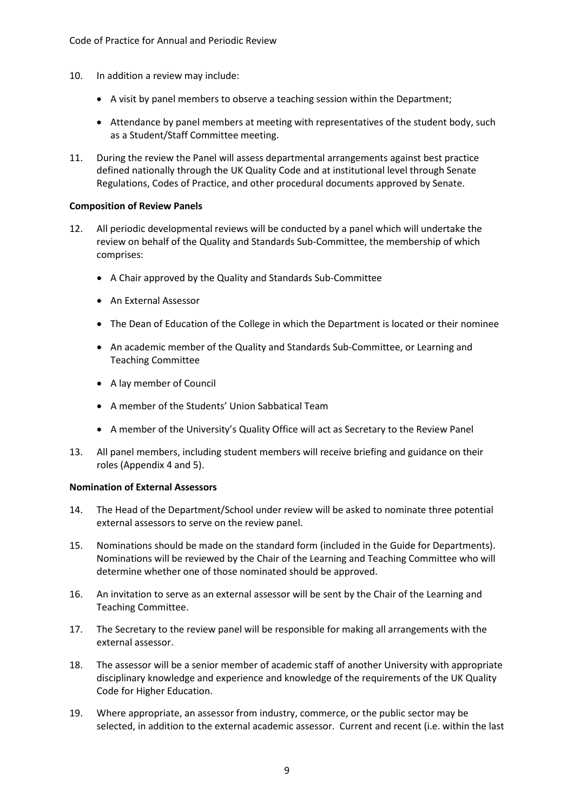- 10. In addition a review may include:
	- A visit by panel members to observe a teaching session within the Department;
	- Attendance by panel members at meeting with representatives of the student body, such as a Student/Staff Committee meeting.
- 11. During the review the Panel will assess departmental arrangements against best practice defined nationally through the UK Quality Code and at institutional level through Senate Regulations, Codes of Practice, and other procedural documents approved by Senate.

#### **Composition of Review Panels**

- 12. All periodic developmental reviews will be conducted by a panel which will undertake the review on behalf of the Quality and Standards Sub-Committee, the membership of which comprises:
	- A Chair approved by the Quality and Standards Sub-Committee
	- An External Assessor
	- The Dean of Education of the College in which the Department is located or their nominee
	- An academic member of the Quality and Standards Sub-Committee, or Learning and Teaching Committee
	- A lay member of Council
	- A member of the Students' Union Sabbatical Team
	- A member of the University's Quality Office will act as Secretary to the Review Panel
- 13. All panel members, including student members will receive briefing and guidance on their roles (Appendix 4 and 5).

#### **Nomination of External Assessors**

- 14. The Head of the Department/School under review will be asked to nominate three potential external assessors to serve on the review panel.
- 15. Nominations should be made on the standard form (included in the Guide for Departments). Nominations will be reviewed by the Chair of the Learning and Teaching Committee who will determine whether one of those nominated should be approved.
- 16. An invitation to serve as an external assessor will be sent by the Chair of the Learning and Teaching Committee.
- 17. The Secretary to the review panel will be responsible for making all arrangements with the external assessor.
- 18. The assessor will be a senior member of academic staff of another University with appropriate disciplinary knowledge and experience and knowledge of the requirements of the UK Quality Code for Higher Education.
- 19. Where appropriate, an assessor from industry, commerce, or the public sector may be selected, in addition to the external academic assessor. Current and recent (i.e. within the last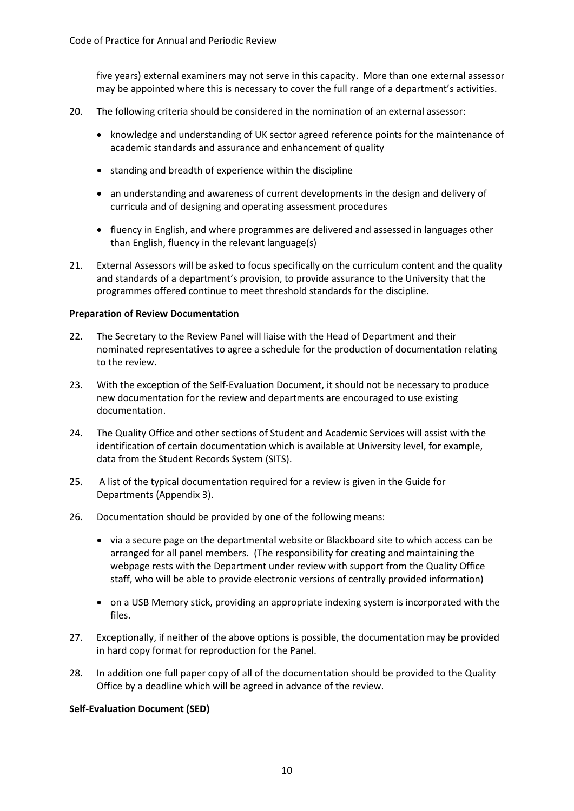five years) external examiners may not serve in this capacity. More than one external assessor may be appointed where this is necessary to cover the full range of a department's activities.

- 20. The following criteria should be considered in the nomination of an external assessor:
	- knowledge and understanding of UK sector agreed reference points for the maintenance of academic standards and assurance and enhancement of quality
	- standing and breadth of experience within the discipline
	- an understanding and awareness of current developments in the design and delivery of curricula and of designing and operating assessment procedures
	- fluency in English, and where programmes are delivered and assessed in languages other than English, fluency in the relevant language(s)
- 21. External Assessors will be asked to focus specifically on the curriculum content and the quality and standards of a department's provision, to provide assurance to the University that the programmes offered continue to meet threshold standards for the discipline.

#### **Preparation of Review Documentation**

- 22. The Secretary to the Review Panel will liaise with the Head of Department and their nominated representatives to agree a schedule for the production of documentation relating to the review.
- 23. With the exception of the Self-Evaluation Document, it should not be necessary to produce new documentation for the review and departments are encouraged to use existing documentation.
- 24. The Quality Office and other sections of Student and Academic Services will assist with the identification of certain documentation which is available at University level, for example, data from the Student Records System (SITS).
- 25. A list of the typical documentation required for a review is given in the Guide for Departments (Appendix 3).
- 26. Documentation should be provided by one of the following means:
	- via a secure page on the departmental website or Blackboard site to which access can be arranged for all panel members. (The responsibility for creating and maintaining the webpage rests with the Department under review with support from the Quality Office staff, who will be able to provide electronic versions of centrally provided information)
	- on a USB Memory stick, providing an appropriate indexing system is incorporated with the files.
- 27. Exceptionally, if neither of the above options is possible, the documentation may be provided in hard copy format for reproduction for the Panel.
- 28. In addition one full paper copy of all of the documentation should be provided to the Quality Office by a deadline which will be agreed in advance of the review.

#### **Self-Evaluation Document (SED)**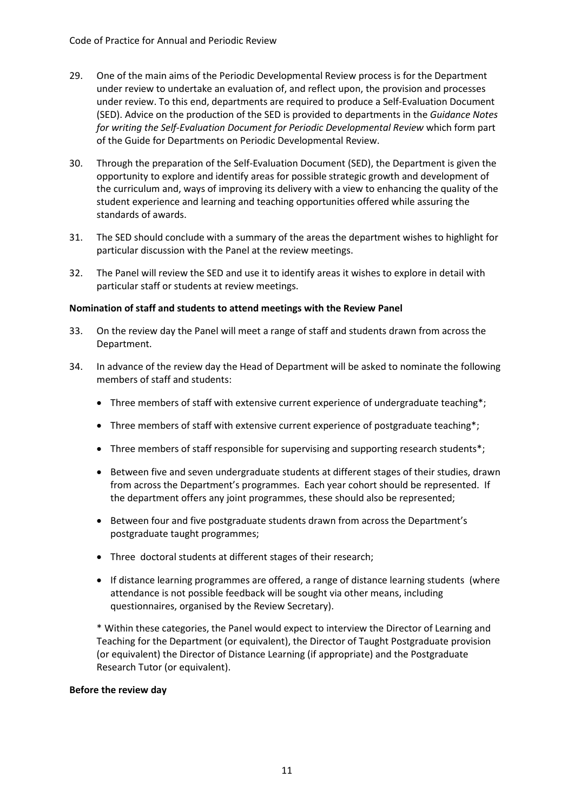- 29. One of the main aims of the Periodic Developmental Review process is for the Department under review to undertake an evaluation of, and reflect upon, the provision and processes under review. To this end, departments are required to produce a Self-Evaluation Document (SED). Advice on the production of the SED is provided to departments in the *Guidance Notes for writing the Self-Evaluation Document for Periodic Developmental Review* which form part of the Guide for Departments on Periodic Developmental Review.
- 30. Through the preparation of the Self-Evaluation Document (SED), the Department is given the opportunity to explore and identify areas for possible strategic growth and development of the curriculum and, ways of improving its delivery with a view to enhancing the quality of the student experience and learning and teaching opportunities offered while assuring the standards of awards.
- 31. The SED should conclude with a summary of the areas the department wishes to highlight for particular discussion with the Panel at the review meetings.
- 32. The Panel will review the SED and use it to identify areas it wishes to explore in detail with particular staff or students at review meetings.

#### **Nomination of staff and students to attend meetings with the Review Panel**

- 33. On the review day the Panel will meet a range of staff and students drawn from across the Department.
- 34. In advance of the review day the Head of Department will be asked to nominate the following members of staff and students:
	- Three members of staff with extensive current experience of undergraduate teaching\*;
	- Three members of staff with extensive current experience of postgraduate teaching\*;
	- Three members of staff responsible for supervising and supporting research students\*;
	- Between five and seven undergraduate students at different stages of their studies, drawn from across the Department's programmes. Each year cohort should be represented. If the department offers any joint programmes, these should also be represented;
	- Between four and five postgraduate students drawn from across the Department's postgraduate taught programmes;
	- Three doctoral students at different stages of their research;
	- If distance learning programmes are offered, a range of distance learning students (where attendance is not possible feedback will be sought via other means, including questionnaires, organised by the Review Secretary).

\* Within these categories, the Panel would expect to interview the Director of Learning and Teaching for the Department (or equivalent), the Director of Taught Postgraduate provision (or equivalent) the Director of Distance Learning (if appropriate) and the Postgraduate Research Tutor (or equivalent).

#### **Before the review day**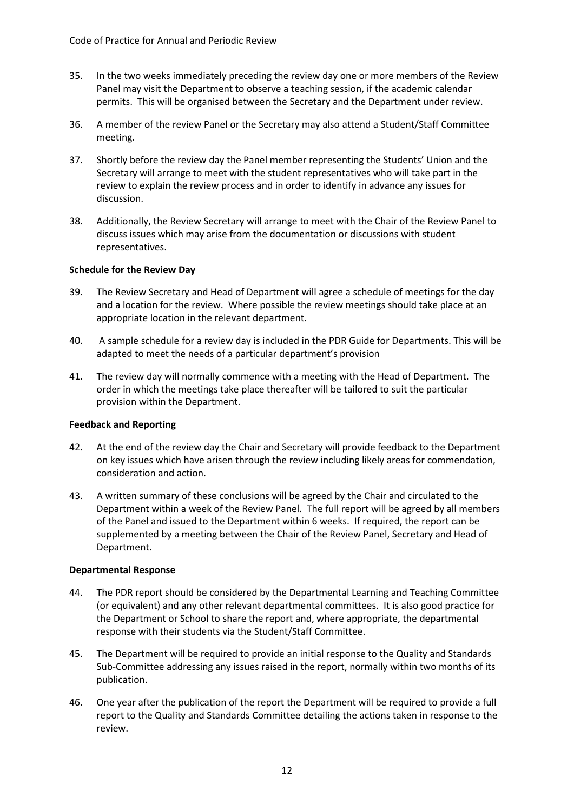- 35. In the two weeks immediately preceding the review day one or more members of the Review Panel may visit the Department to observe a teaching session, if the academic calendar permits. This will be organised between the Secretary and the Department under review.
- 36. A member of the review Panel or the Secretary may also attend a Student/Staff Committee meeting.
- 37. Shortly before the review day the Panel member representing the Students' Union and the Secretary will arrange to meet with the student representatives who will take part in the review to explain the review process and in order to identify in advance any issues for discussion.
- 38. Additionally, the Review Secretary will arrange to meet with the Chair of the Review Panel to discuss issues which may arise from the documentation or discussions with student representatives.

#### **Schedule for the Review Day**

- 39. The Review Secretary and Head of Department will agree a schedule of meetings for the day and a location for the review. Where possible the review meetings should take place at an appropriate location in the relevant department.
- 40. A sample schedule for a review day is included in the PDR Guide for Departments. This will be adapted to meet the needs of a particular department's provision
- 41. The review day will normally commence with a meeting with the Head of Department. The order in which the meetings take place thereafter will be tailored to suit the particular provision within the Department.

#### **Feedback and Reporting**

- 42. At the end of the review day the Chair and Secretary will provide feedback to the Department on key issues which have arisen through the review including likely areas for commendation, consideration and action.
- 43. A written summary of these conclusions will be agreed by the Chair and circulated to the Department within a week of the Review Panel. The full report will be agreed by all members of the Panel and issued to the Department within 6 weeks. If required, the report can be supplemented by a meeting between the Chair of the Review Panel, Secretary and Head of Department.

#### **Departmental Response**

- 44. The PDR report should be considered by the Departmental Learning and Teaching Committee (or equivalent) and any other relevant departmental committees. It is also good practice for the Department or School to share the report and, where appropriate, the departmental response with their students via the Student/Staff Committee.
- 45. The Department will be required to provide an initial response to the Quality and Standards Sub-Committee addressing any issues raised in the report, normally within two months of its publication.
- 46. One year after the publication of the report the Department will be required to provide a full report to the Quality and Standards Committee detailing the actions taken in response to the review.